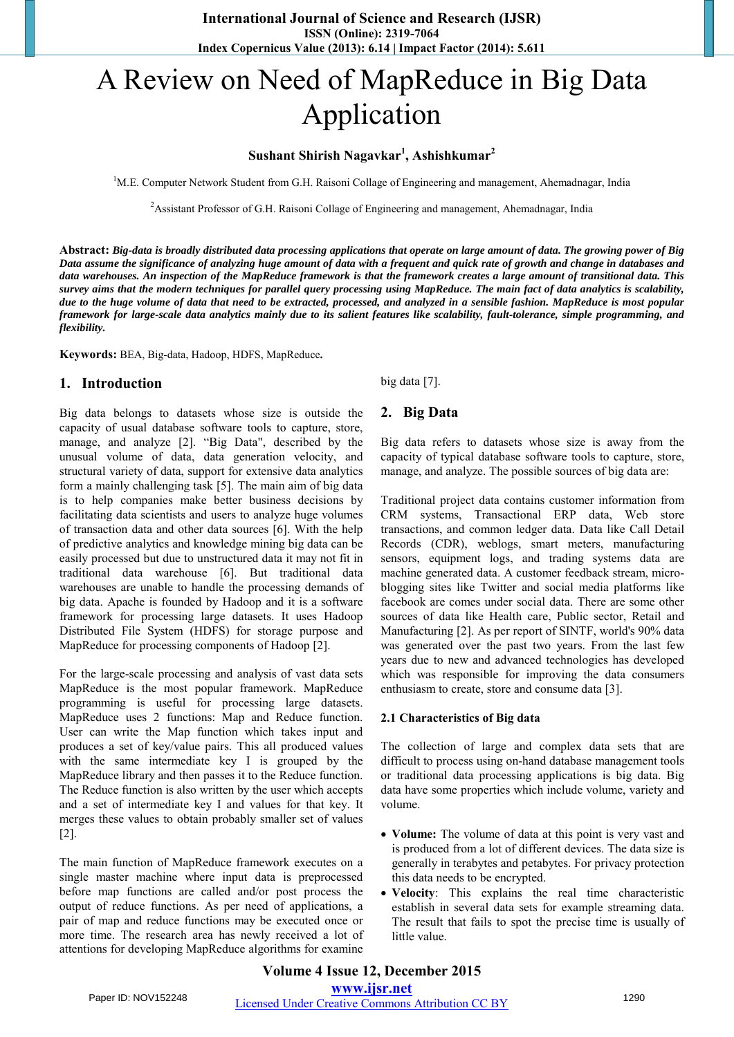# A Review on Need of MapReduce in Big Data Application

# **Sushant Shirish Nagavkar<sup>1</sup> , Ashishkumar<sup>2</sup>**

<sup>1</sup>M.E. Computer Network Student from G.H. Raisoni Collage of Engineering and management, Ahemadnagar, India

<sup>2</sup> Assistant Professor of G.H. Raisoni Collage of Engineering and management, Ahemadnagar, India

**Abstract:** *Big-data is broadly distributed data processing applications that operate on large amount of data. The growing power of Big Data assume the significance of analyzing huge amount of data with a frequent and quick rate of growth and change in databases and data warehouses. An inspection of the MapReduce framework is that the framework creates a large amount of transitional data. This survey aims that the modern techniques for parallel query processing using MapReduce. The main fact of data analytics is scalability, due to the huge volume of data that need to be extracted, processed, and analyzed in a sensible fashion. MapReduce is most popular framework for large-scale data analytics mainly due to its salient features like scalability, fault-tolerance, simple programming, and flexibility.* 

**Keywords:** BEA, Big-data, Hadoop, HDFS, MapReduce**.** 

#### **1. Introduction**

Big data belongs to datasets whose size is outside the capacity of usual database software tools to capture, store, manage, and analyze [2]. "Big Data", described by the unusual volume of data, data generation velocity, and structural variety of data, support for extensive data analytics form a mainly challenging task [5]. The main aim of big data is to help companies make better business decisions by facilitating data scientists and users to analyze huge volumes of transaction data and other data sources [6]. With the help of predictive analytics and knowledge mining big data can be easily processed but due to unstructured data it may not fit in traditional data warehouse [6]. But traditional data warehouses are unable to handle the processing demands of big data. Apache is founded by Hadoop and it is a software framework for processing large datasets. It uses Hadoop Distributed File System (HDFS) for storage purpose and MapReduce for processing components of Hadoop [2].

For the large-scale processing and analysis of vast data sets MapReduce is the most popular framework. MapReduce programming is useful for processing large datasets. MapReduce uses 2 functions: Map and Reduce function. User can write the Map function which takes input and produces a set of key/value pairs. This all produced values with the same intermediate key I is grouped by the MapReduce library and then passes it to the Reduce function. The Reduce function is also written by the user which accepts and a set of intermediate key I and values for that key. It merges these values to obtain probably smaller set of values [2].

The main function of MapReduce framework executes on a single master machine where input data is preprocessed before map functions are called and/or post process the output of reduce functions. As per need of applications, a pair of map and reduce functions may be executed once or more time. The research area has newly received a lot of attentions for developing MapReduce algorithms for examine

big data [7].

#### **2. Big Data**

Big data refers to datasets whose size is away from the capacity of typical database software tools to capture, store, manage, and analyze. The possible sources of big data are:

Traditional project data contains customer information from CRM systems, Transactional ERP data, Web store transactions, and common ledger data. Data like Call Detail Records (CDR), weblogs, smart meters, manufacturing sensors, equipment logs, and trading systems data are machine generated data. A customer feedback stream, microblogging sites like Twitter and social media platforms like facebook are comes under social data. There are some other sources of data like Health care, Public sector, Retail and Manufacturing [2]. As per report of SINTF, world's 90% data was generated over the past two years. From the last few years due to new and advanced technologies has developed which was responsible for improving the data consumers enthusiasm to create, store and consume data [3].

#### **2.1 Characteristics of Big data**

The collection of large and complex data sets that are difficult to process using on-hand database management tools or traditional data processing applications is big data. Big data have some properties which include volume, variety and volume.

- **Volume:** The volume of data at this point is very vast and is produced from a lot of different devices. The data size is generally in terabytes and petabytes. For privacy protection this data needs to be encrypted.
- **Velocity**: This explains the real time characteristic establish in several data sets for example streaming data. The result that fails to spot the precise time is usually of little value.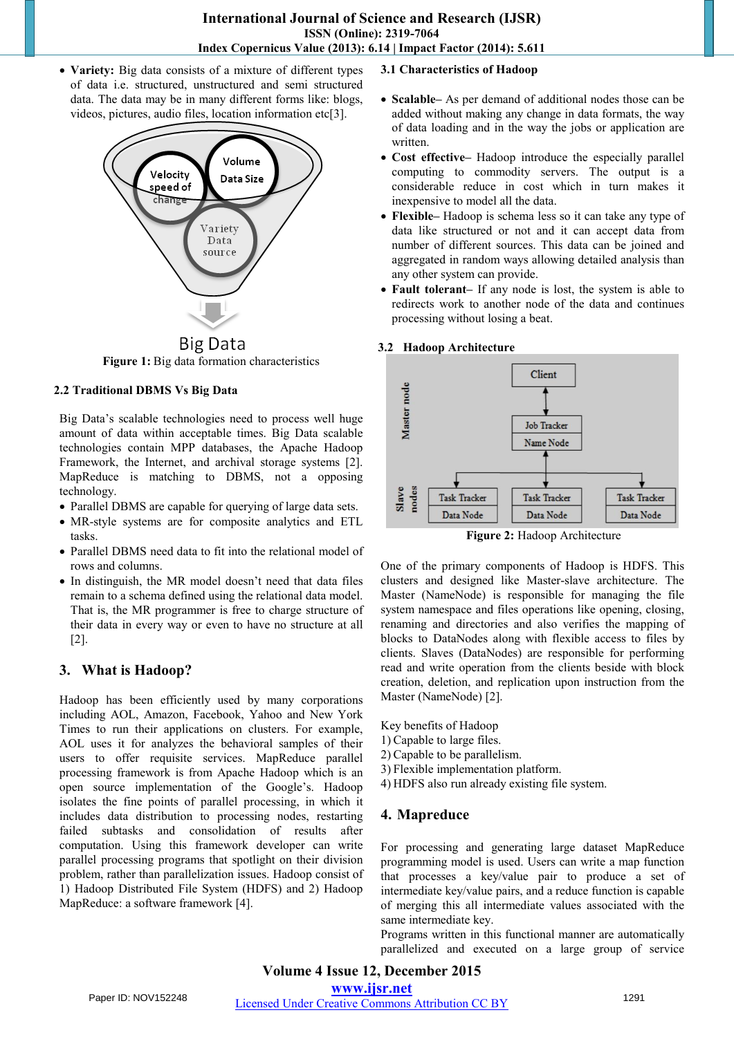**Variety:** Big data consists of a mixture of different types of data i.e. structured, unstructured and semi structured data. The data may be in many different forms like: blogs, videos, pictures, audio files, location information etc[3].



**Figure 1:** Big data formation characteristics

#### **2.2 Traditional DBMS Vs Big Data**

Big Data's scalable technologies need to process well huge amount of data within acceptable times. Big Data scalable technologies contain MPP databases, the Apache Hadoop Framework, the Internet, and archival storage systems [2]. MapReduce is matching to DBMS, not a opposing technology.

- Parallel DBMS are capable for querying of large data sets.
- MR-style systems are for composite analytics and ETL tasks.
- Parallel DBMS need data to fit into the relational model of rows and columns.
- In distinguish, the MR model doesn't need that data files remain to a schema defined using the relational data model. That is, the MR programmer is free to charge structure of their data in every way or even to have no structure at all [2].

# **3. What is Hadoop?**

Hadoop has been efficiently used by many corporations including AOL, Amazon, Facebook, Yahoo and New York Times to run their applications on clusters. For example, AOL uses it for analyzes the behavioral samples of their users to offer requisite services. MapReduce parallel processing framework is from Apache Hadoop which is an open source implementation of the Google's. Hadoop isolates the fine points of parallel processing, in which it includes data distribution to processing nodes, restarting failed subtasks and consolidation of results after computation. Using this framework developer can write parallel processing programs that spotlight on their division problem, rather than parallelization issues. Hadoop consist of 1) Hadoop Distributed File System (HDFS) and 2) Hadoop MapReduce: a software framework [4].

#### **3.1 Characteristics of Hadoop**

- **Scalable–** As per demand of additional nodes those can be added without making any change in data formats, the way of data loading and in the way the jobs or application are written.
- **Cost effective–** Hadoop introduce the especially parallel computing to commodity servers. The output is a considerable reduce in cost which in turn makes it inexpensive to model all the data.
- **Flexible–** Hadoop is schema less so it can take any type of data like structured or not and it can accept data from number of different sources. This data can be joined and aggregated in random ways allowing detailed analysis than any other system can provide.
- **Fault tolerant–** If any node is lost, the system is able to redirects work to another node of the data and continues processing without losing a beat.

#### **3.2 Hadoop Architecture**



**Figure 2:** Hadoop Architecture

One of the primary components of Hadoop is HDFS. This clusters and designed like Master-slave architecture. The Master (NameNode) is responsible for managing the file system namespace and files operations like opening, closing, renaming and directories and also verifies the mapping of blocks to DataNodes along with flexible access to files by clients. Slaves (DataNodes) are responsible for performing read and write operation from the clients beside with block creation, deletion, and replication upon instruction from the Master (NameNode) [2].

Key benefits of Hadoop

- 1) Capable to large files.
- 2) Capable to be parallelism.
- 3) Flexible implementation platform.
- 4) HDFS also run already existing file system.

#### **4. Mapreduce**

For processing and generating large dataset MapReduce programming model is used. Users can write a map function that processes a key/value pair to produce a set of intermediate key/value pairs, and a reduce function is capable of merging this all intermediate values associated with the same intermediate key.

Programs written in this functional manner are automatically parallelized and executed on a large group of service

# **Volume 4 Issue 12, December 2015 www.ijsr.net**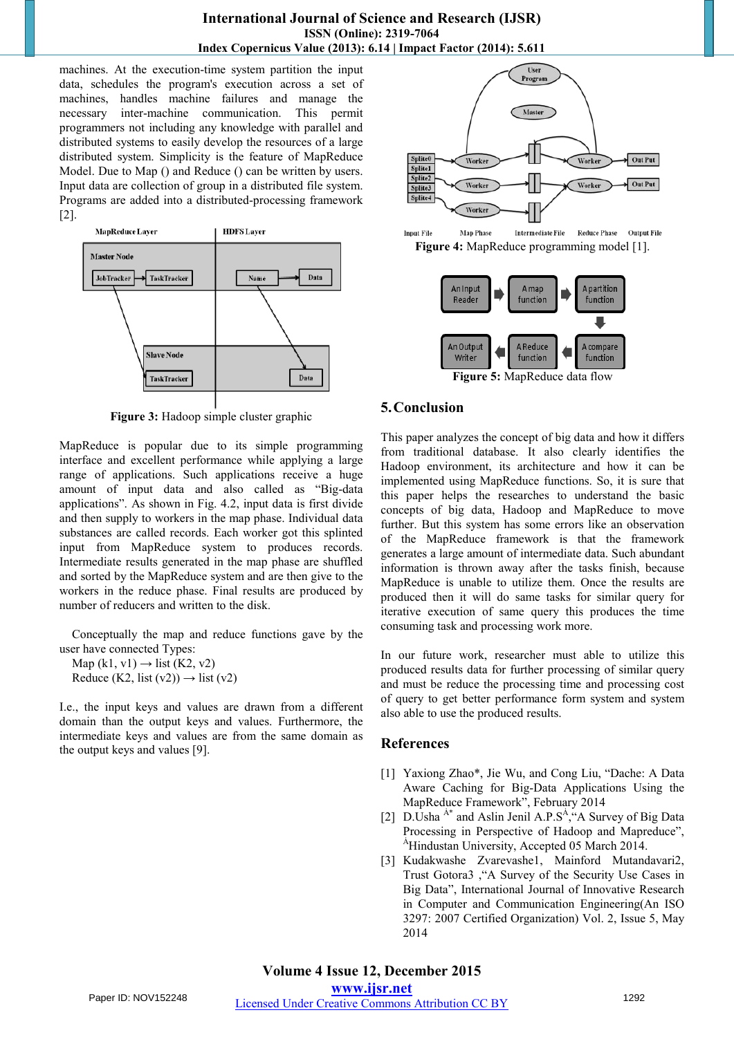machines. At the execution-time system partition the input data, schedules the program's execution across a set of machines, handles machine failures and manage the necessary inter-machine communication. This permit programmers not including any knowledge with parallel and distributed systems to easily develop the resources of a large distributed system. Simplicity is the feature of MapReduce Model. Due to Map () and Reduce () can be written by users. Input data are collection of group in a distributed file system. Programs are added into a distributed-processing framework [2].



**Figure 3:** Hadoop simple cluster graphic

MapReduce is popular due to its simple programming interface and excellent performance while applying a large range of applications. Such applications receive a huge amount of input data and also called as "Big-data applications". As shown in Fig. 4.2, input data is first divide and then supply to workers in the map phase. Individual data substances are called records. Each worker got this splinted input from MapReduce system to produces records. Intermediate results generated in the map phase are shuffled and sorted by the MapReduce system and are then give to the workers in the reduce phase. Final results are produced by number of reducers and written to the disk.

Conceptually the map and reduce functions gave by the user have connected Types:

Map  $(k1, v1) \rightarrow$  list  $(K2, v2)$ Reduce (K2, list  $(v2)$ )  $\rightarrow$  list  $(v2)$ 

I.e., the input keys and values are drawn from a different domain than the output keys and values. Furthermore, the intermediate keys and values are from the same domain as the output keys and values [9].







**Figure 5:** MapReduce data flow

# **5.Conclusion**

This paper analyzes the concept of big data and how it differs from traditional database. It also clearly identifies the Hadoop environment, its architecture and how it can be implemented using MapReduce functions. So, it is sure that this paper helps the researches to understand the basic concepts of big data, Hadoop and MapReduce to move further. But this system has some errors like an observation of the MapReduce framework is that the framework generates a large amount of intermediate data. Such abundant information is thrown away after the tasks finish, because MapReduce is unable to utilize them. Once the results are produced then it will do same tasks for similar query for iterative execution of same query this produces the time consuming task and processing work more.

In our future work, researcher must able to utilize this produced results data for further processing of similar query and must be reduce the processing time and processing cost of query to get better performance form system and system also able to use the produced results.

#### **References**

- [1] Yaxiong Zhao\*, Jie Wu, and Cong Liu, "Dache: A Data Aware Caching for Big-Data Applications Using the MapReduce Framework", February 2014
- [2] D.Usha<sup>A\*</sup> and Aslin Jenil A.P.S<sup>A</sup>, "A Survey of Big Data Processing in Perspective of Hadoop and Mapreduce", <sup>A</sup>Hindustan University, Accepted 05 March 2014.
- [3] Kudakwashe Zvarevashe1, Mainford Mutandavari2, Trust Gotora3 ,"A Survey of the Security Use Cases in Big Data", International Journal of Innovative Research in Computer and Communication Engineering(An ISO 3297: 2007 Certified Organization) Vol. 2, Issue 5, May 2014